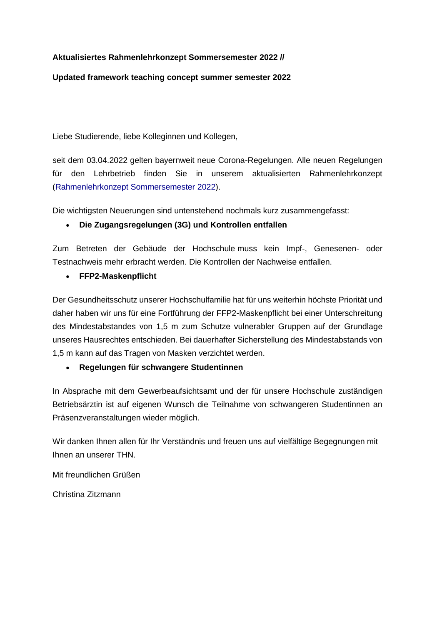### **Aktualisiertes Rahmenlehrkonzept Sommersemester 2022 //**

#### **Updated framework teaching concept summer semester 2022**

Liebe Studierende, liebe Kolleginnen und Kollegen,

seit dem 03.04.2022 gelten bayernweit neue Corona-Regelungen. Alle neuen Regelungen für den Lehrbetrieb finden Sie in unserem aktualisierten Rahmenlehrkonzept [\(Rahmenlehrkonzept Sommersemester 2022\)](https://www.th-nuernberg.de/fileadmin/global/Gelenkte_Doks/StabSt/AS/AS_2160_VO_Rahmenlehrkonzept_public.pdf).

Die wichtigsten Neuerungen sind untenstehend nochmals kurz zusammengefasst:

#### • **Die Zugangsregelungen (3G) und Kontrollen entfallen**

Zum Betreten der Gebäude der Hochschule muss kein Impf-, Genesenen- oder Testnachweis mehr erbracht werden. Die Kontrollen der Nachweise entfallen.

#### • **FFP2-Maskenpflicht**

Der Gesundheitsschutz unserer Hochschulfamilie hat für uns weiterhin höchste Priorität und daher haben wir uns für eine Fortführung der FFP2-Maskenpflicht bei einer Unterschreitung des Mindestabstandes von 1,5 m zum Schutze vulnerabler Gruppen auf der Grundlage unseres Hausrechtes entschieden. Bei dauerhafter Sicherstellung des Mindestabstands von 1,5 m kann auf das Tragen von Masken verzichtet werden.

#### • **Regelungen für schwangere Studentinnen**

In Absprache mit dem Gewerbeaufsichtsamt und der für unsere Hochschule zuständigen Betriebsärztin ist auf eigenen Wunsch die Teilnahme von schwangeren Studentinnen an Präsenzveranstaltungen wieder möglich.

Wir danken Ihnen allen für Ihr Verständnis und freuen uns auf vielfältige Begegnungen mit Ihnen an unserer THN.

Mit freundlichen Grüßen

Christina Zitzmann